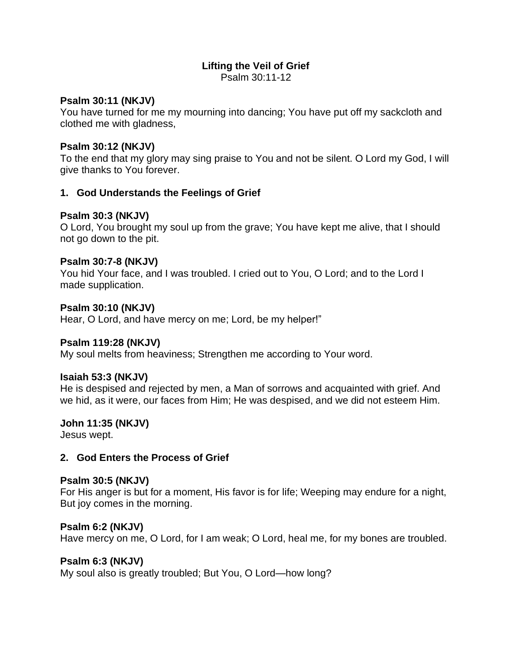# **Lifting the Veil of Grief**

Psalm 30:11-12

### **Psalm 30:11 (NKJV)**

You have turned for me my mourning into dancing; You have put off my sackcloth and clothed me with gladness,

## **Psalm 30:12 (NKJV)**

To the end that my glory may sing praise to You and not be silent. O Lord my God, I will give thanks to You forever.

## **1. God Understands the Feelings of Grief**

## **Psalm 30:3 (NKJV)**

O Lord, You brought my soul up from the grave; You have kept me alive, that I should not go down to the pit.

### **Psalm 30:7-8 (NKJV)**

You hid Your face, and I was troubled. I cried out to You, O Lord; and to the Lord I made supplication.

## **Psalm 30:10 (NKJV)**

Hear, O Lord, and have mercy on me; Lord, be my helper!"

### **Psalm 119:28 (NKJV)**

My soul melts from heaviness; Strengthen me according to Your word.

### **Isaiah 53:3 (NKJV)**

He is despised and rejected by men, a Man of sorrows and acquainted with grief. And we hid, as it were, our faces from Him; He was despised, and we did not esteem Him.

### **John 11:35 (NKJV)**

Jesus wept.

## **2. God Enters the Process of Grief**

### **Psalm 30:5 (NKJV)**

For His anger is but for a moment, His favor is for life; Weeping may endure for a night, But joy comes in the morning.

### **Psalm 6:2 (NKJV)**

Have mercy on me, O Lord, for I am weak; O Lord, heal me, for my bones are troubled.

### **Psalm 6:3 (NKJV)**

My soul also is greatly troubled; But You, O Lord—how long?